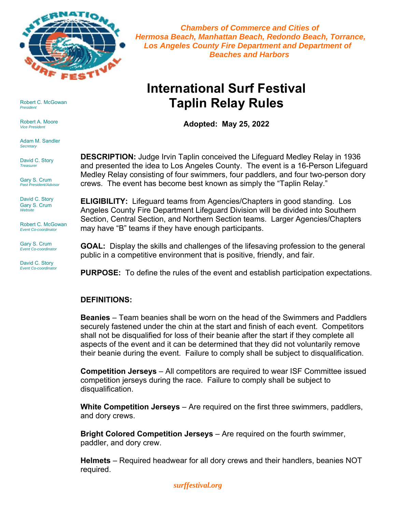

 *Chambers of Commerce and Cities of Hermosa Beach, Manhattan Beach, Redondo Beach, Torrance, Los Angeles County Fire Department and Department of Beaches and Harbors*

# **International Surf Festival Taplin Relay Rules**

**Adopted: May 25, 2022** 

**DESCRIPTION:** Judge Irvin Taplin conceived the Lifeguard Medley Relay in 1936 and presented the idea to Los Angeles County. The event is a 16-Person Lifeguard Medley Relay consisting of four swimmers, four paddlers, and four two-person dory crews. The event has become best known as simply the "Taplin Relay."

**ELIGIBILITY:** Lifeguard teams from Agencies/Chapters in good standing. Los Angeles County Fire Department Lifeguard Division will be divided into Southern Section, Central Section, and Northern Section teams. Larger Agencies/Chapters may have "B" teams if they have enough participants.

**GOAL:** Display the skills and challenges of the lifesaving profession to the general public in a competitive environment that is positive, friendly, and fair.

**PURPOSE:** To define the rules of the event and establish participation expectations.

### **DEFINITIONS:**

**Beanies** – Team beanies shall be worn on the head of the Swimmers and Paddlers securely fastened under the chin at the start and finish of each event. Competitors shall not be disqualified for loss of their beanie after the start if they complete all aspects of the event and it can be determined that they did not voluntarily remove their beanie during the event. Failure to comply shall be subject to disqualification.

**Competition Jerseys** – All competitors are required to wear ISF Committee issued competition jerseys during the race. Failure to comply shall be subject to disqualification.

**White Competition Jerseys** – Are required on the first three swimmers, paddlers, and dory crews.

**Bright Colored Competition Jerseys** – Are required on the fourth swimmer, paddler, and dory crew.

**Helmets** – Required headwear for all dory crews and their handlers, beanies NOT required.

Robert C. McGowan *President*

Robert A. Moore *Vice President*

Adam M. Sandler *Secretary*

David C. Story *Treasurer*

Gary S. Crum *Past President/Advisor*

David C. Story Gary S. Crum *Website*

Robert C. McGowan *Event Co-coordinator*

Gary S. Crum *Event Co-coordinator*

David C. Story *Event Co-coordinator*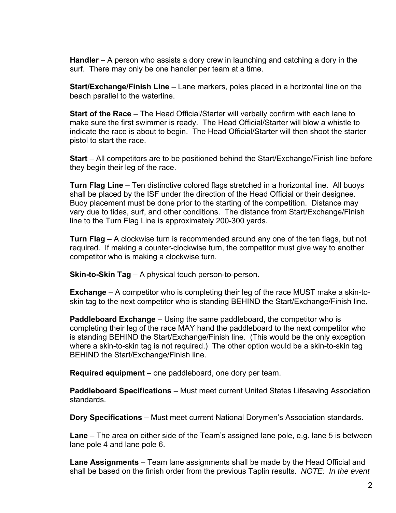**Handler** – A person who assists a dory crew in launching and catching a dory in the surf. There may only be one handler per team at a time.

**Start/Exchange/Finish Line** – Lane markers, poles placed in a horizontal line on the beach parallel to the waterline.

**Start of the Race** – The Head Official/Starter will verbally confirm with each lane to make sure the first swimmer is ready. The Head Official/Starter will blow a whistle to indicate the race is about to begin. The Head Official/Starter will then shoot the starter pistol to start the race.

**Start** – All competitors are to be positioned behind the Start/Exchange/Finish line before they begin their leg of the race.

**Turn Flag Line** – Ten distinctive colored flags stretched in a horizontal line. All buoys shall be placed by the ISF under the direction of the Head Official or their designee. Buoy placement must be done prior to the starting of the competition. Distance may vary due to tides, surf, and other conditions. The distance from Start/Exchange/Finish line to the Turn Flag Line is approximately 200-300 yards.

**Turn Flag** – A clockwise turn is recommended around any one of the ten flags, but not required. If making a counter-clockwise turn, the competitor must give way to another competitor who is making a clockwise turn.

**Skin-to-Skin Tag** – A physical touch person-to-person.

**Exchange** – A competitor who is completing their leg of the race MUST make a skin-toskin tag to the next competitor who is standing BEHIND the Start/Exchange/Finish line.

**Paddleboard Exchange** – Using the same paddleboard, the competitor who is completing their leg of the race MAY hand the paddleboard to the next competitor who is standing BEHIND the Start/Exchange/Finish line. (This would be the only exception where a skin-to-skin tag is not required.) The other option would be a skin-to-skin tag BEHIND the Start/Exchange/Finish line.

**Required equipment** – one paddleboard, one dory per team.

**Paddleboard Specifications** – Must meet current United States Lifesaving Association standards.

**Dory Specifications** – Must meet current National Dorymen's Association standards.

**Lane** – The area on either side of the Team's assigned lane pole, e.g. lane 5 is between lane pole 4 and lane pole 6.

**Lane Assignments** – Team lane assignments shall be made by the Head Official and shall be based on the finish order from the previous Taplin results. *NOTE: In the event*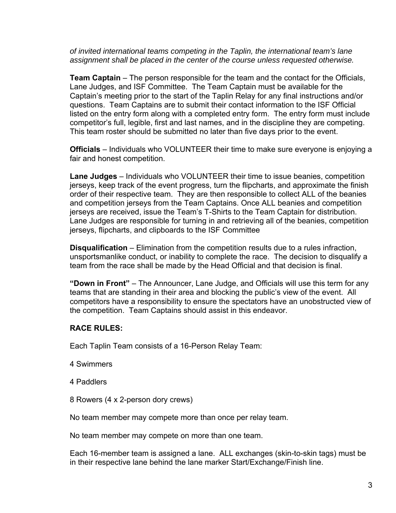*of invited international teams competing in the Taplin, the international team's lane assignment shall be placed in the center of the course unless requested otherwise.* 

**Team Captain** – The person responsible for the team and the contact for the Officials, Lane Judges, and ISF Committee. The Team Captain must be available for the Captain's meeting prior to the start of the Taplin Relay for any final instructions and/or questions. Team Captains are to submit their contact information to the ISF Official listed on the entry form along with a completed entry form. The entry form must include competitor's full, legible, first and last names, and in the discipline they are competing. This team roster should be submitted no later than five days prior to the event.

**Officials** – Individuals who VOLUNTEER their time to make sure everyone is enjoying a fair and honest competition.

**Lane Judges** – Individuals who VOLUNTEER their time to issue beanies, competition jerseys, keep track of the event progress, turn the flipcharts, and approximate the finish order of their respective team. They are then responsible to collect ALL of the beanies and competition jerseys from the Team Captains. Once ALL beanies and competition jerseys are received, issue the Team's T-Shirts to the Team Captain for distribution. Lane Judges are responsible for turning in and retrieving all of the beanies, competition jerseys, flipcharts, and clipboards to the ISF Committee

**Disqualification** – Elimination from the competition results due to a rules infraction, unsportsmanlike conduct, or inability to complete the race. The decision to disqualify a team from the race shall be made by the Head Official and that decision is final.

**"Down in Front"** – The Announcer, Lane Judge, and Officials will use this term for any teams that are standing in their area and blocking the public's view of the event. All competitors have a responsibility to ensure the spectators have an unobstructed view of the competition. Team Captains should assist in this endeavor.

# **RACE RULES:**

Each Taplin Team consists of a 16-Person Relay Team:

- 4 Swimmers
- 4 Paddlers
- 8 Rowers (4 x 2-person dory crews)

No team member may compete more than once per relay team.

No team member may compete on more than one team.

Each 16-member team is assigned a lane. ALL exchanges (skin-to-skin tags) must be in their respective lane behind the lane marker Start/Exchange/Finish line.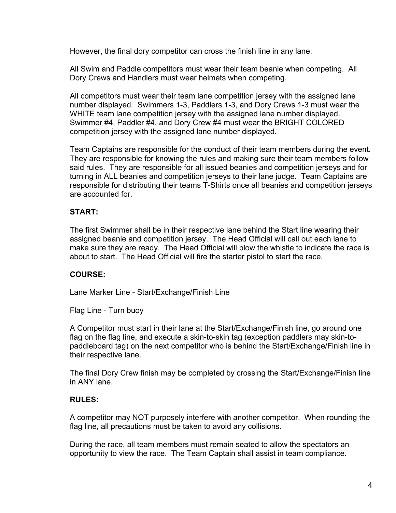However, the final dory competitor can cross the finish line in any lane.

All Swim and Paddle competitors must wear their team beanie when competing. All Dory Crews and Handlers must wear helmets when competing.

All competitors must wear their team lane competition jersey with the assigned lane number displayed. Swimmers 1-3, Paddlers 1-3, and Dory Crews 1-3 must wear the WHITE team lane competition jersey with the assigned lane number displayed. Swimmer #4, Paddler #4, and Dory Crew #4 must wear the BRIGHT COLORED competition jersey with the assigned lane number displayed.

Team Captains are responsible for the conduct of their team members during the event. They are responsible for knowing the rules and making sure their team members follow said rules. They are responsible for all issued beanies and competition jerseys and for turning in ALL beanies and competition jerseys to their lane judge. Team Captains are responsible for distributing their teams T-Shirts once all beanies and competition jerseys are accounted for.

# **START:**

The first Swimmer shall be in their respective lane behind the Start line wearing their assigned beanie and competition jersey. The Head Official will call out each lane to make sure they are ready. The Head Official will blow the whistle to indicate the race is about to start. The Head Official will fire the starter pistol to start the race.

# **COURSE:**

Lane Marker Line - Start/Exchange/Finish Line

Flag Line - Turn buoy

A Competitor must start in their lane at the Start/Exchange/Finish line, go around one flag on the flag line, and execute a skin-to-skin tag (exception paddlers may skin-topaddleboard tag) on the next competitor who is behind the Start/Exchange/Finish line in their respective lane.

The final Dory Crew finish may be completed by crossing the Start/Exchange/Finish line in ANY lane.

### **RULES:**

A competitor may NOT purposely interfere with another competitor. When rounding the flag line, all precautions must be taken to avoid any collisions.

During the race, all team members must remain seated to allow the spectators an opportunity to view the race. The Team Captain shall assist in team compliance.